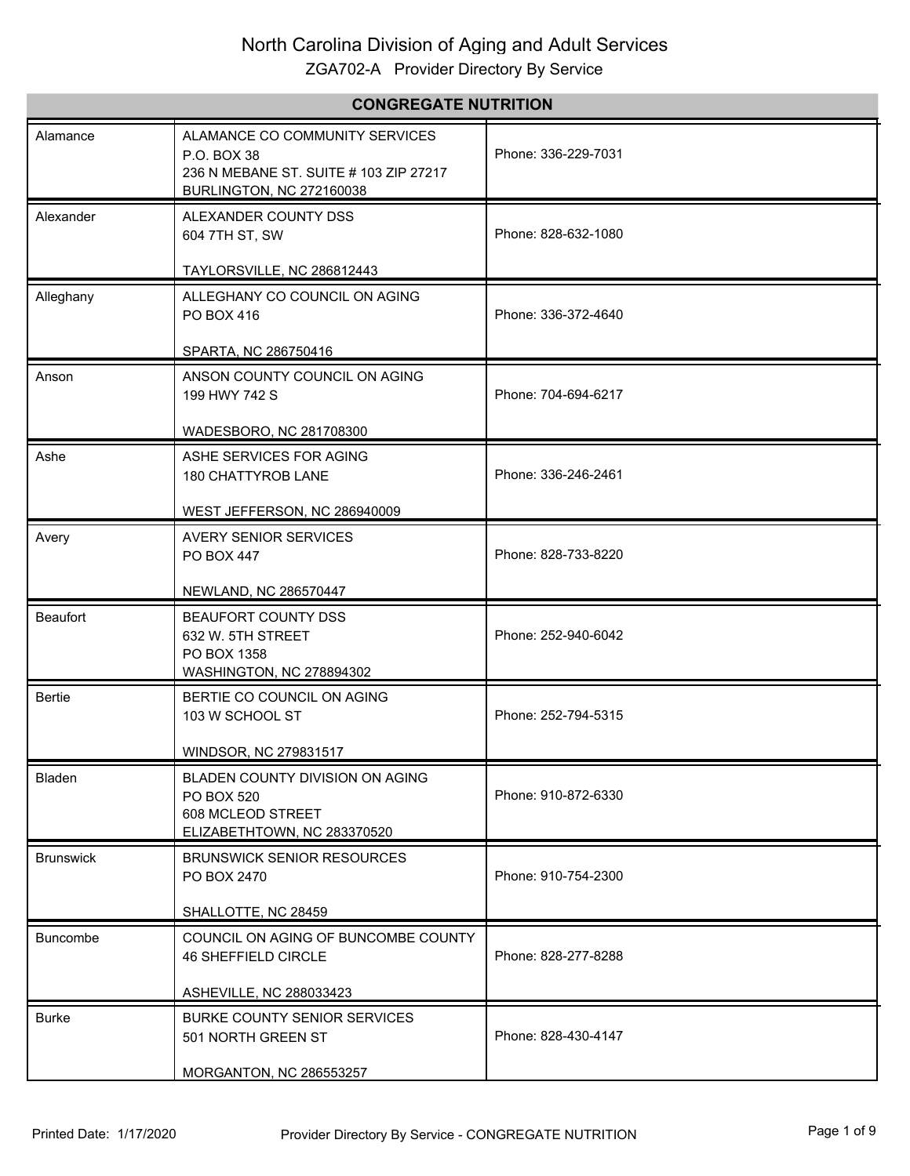# North Carolina Division of Aging and Adult Services

ZGA702-A Provider Directory By Service

| <b>CONGREGATE NUTRITION</b> |                                                                                                                            |                     |
|-----------------------------|----------------------------------------------------------------------------------------------------------------------------|---------------------|
| Alamance                    | ALAMANCE CO COMMUNITY SERVICES<br>P.O. BOX 38<br>236 N MEBANE ST, SUITE # 103 ZIP 27217<br><b>BURLINGTON, NC 272160038</b> | Phone: 336-229-7031 |
| Alexander                   | ALEXANDER COUNTY DSS<br>604 7TH ST, SW                                                                                     | Phone: 828-632-1080 |
|                             | TAYLORSVILLE, NC 286812443                                                                                                 |                     |
| Alleghany                   | ALLEGHANY CO COUNCIL ON AGING<br>PO BOX 416                                                                                | Phone: 336-372-4640 |
|                             | SPARTA, NC 286750416                                                                                                       |                     |
| Anson                       | ANSON COUNTY COUNCIL ON AGING<br>199 HWY 742 S                                                                             | Phone: 704-694-6217 |
|                             | WADESBORO, NC 281708300                                                                                                    |                     |
| Ashe                        | ASHE SERVICES FOR AGING<br>180 CHATTYROB LANE                                                                              | Phone: 336-246-2461 |
|                             | WEST JEFFERSON, NC 286940009                                                                                               |                     |
| Avery                       | <b>AVERY SENIOR SERVICES</b><br>PO BOX 447                                                                                 | Phone: 828-733-8220 |
|                             | NEWLAND, NC 286570447                                                                                                      |                     |
| Beaufort                    | BEAUFORT COUNTY DSS<br>632 W. 5TH STREET<br>PO BOX 1358<br>WASHINGTON, NC 278894302                                        | Phone: 252-940-6042 |
| Bertie                      | BERTIE CO COUNCIL ON AGING<br>103 W SCHOOL ST                                                                              | Phone: 252-794-5315 |
|                             | WINDSOR, NC 279831517                                                                                                      |                     |
| Bladen                      | BLADEN COUNTY DIVISION ON AGING<br>PO BOX 520<br>608 MCLEOD STREET<br>ELIZABETHTOWN, NC 283370520                          | Phone: 910-872-6330 |
| <b>Brunswick</b>            | <b>BRUNSWICK SENIOR RESOURCES</b><br>PO BOX 2470                                                                           | Phone: 910-754-2300 |
|                             | SHALLOTTE, NC 28459                                                                                                        |                     |
| <b>Buncombe</b>             | COUNCIL ON AGING OF BUNCOMBE COUNTY<br><b>46 SHEFFIELD CIRCLE</b>                                                          | Phone: 828-277-8288 |
|                             | ASHEVILLE, NC 288033423                                                                                                    |                     |
| <b>Burke</b>                | BURKE COUNTY SENIOR SERVICES<br>501 NORTH GREEN ST                                                                         | Phone: 828-430-4147 |
|                             | MORGANTON, NC 286553257                                                                                                    |                     |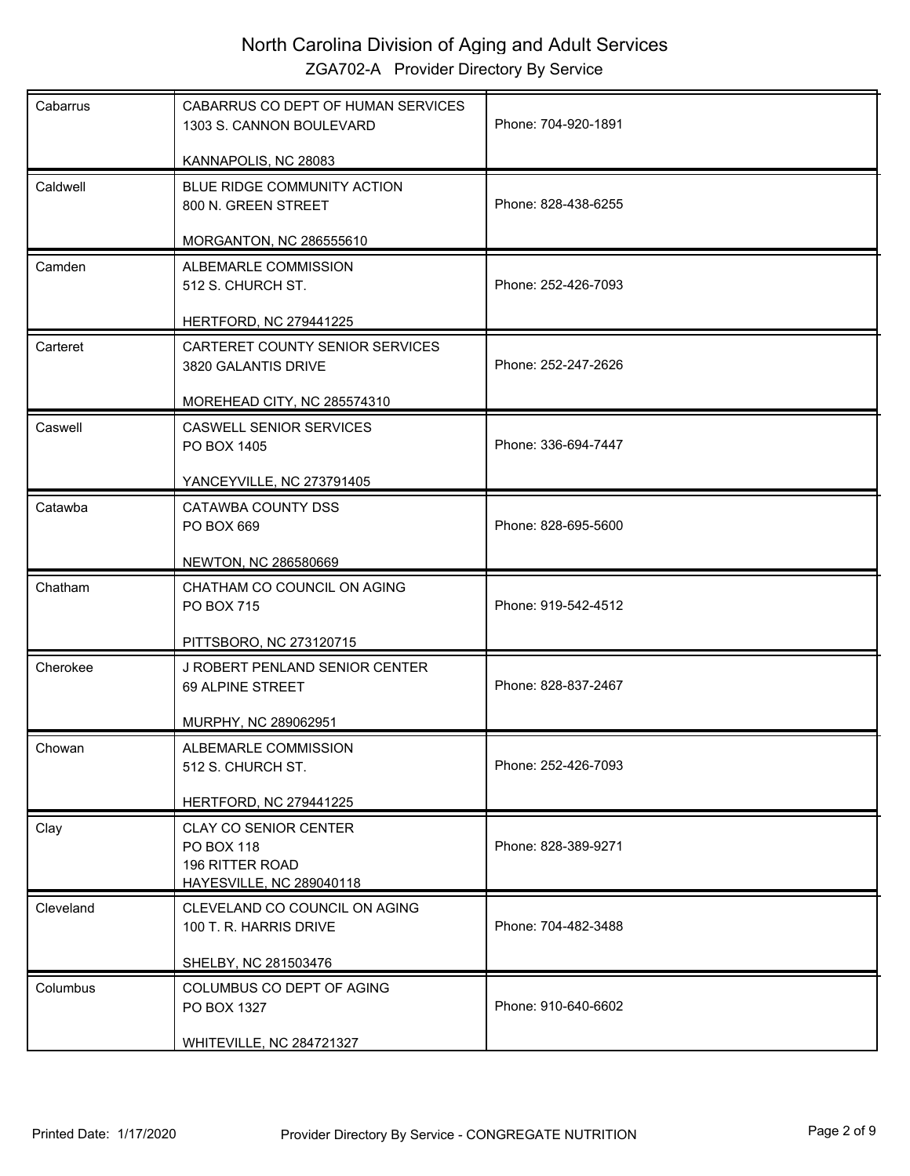| Cabarrus  | CABARRUS CO DEPT OF HUMAN SERVICES<br>1303 S. CANNON BOULEVARD                            | Phone: 704-920-1891 |
|-----------|-------------------------------------------------------------------------------------------|---------------------|
|           | KANNAPOLIS, NC 28083                                                                      |                     |
| Caldwell  | BLUE RIDGE COMMUNITY ACTION<br>800 N. GREEN STREET                                        | Phone: 828-438-6255 |
|           | <b>MORGANTON, NC 286555610</b>                                                            |                     |
| Camden    | ALBEMARLE COMMISSION<br>512 S. CHURCH ST.                                                 | Phone: 252-426-7093 |
|           | <b>HERTFORD, NC 279441225</b>                                                             |                     |
| Carteret  | CARTERET COUNTY SENIOR SERVICES<br>3820 GALANTIS DRIVE                                    | Phone: 252-247-2626 |
|           | MOREHEAD CITY, NC 285574310                                                               |                     |
| Caswell   | <b>CASWELL SENIOR SERVICES</b><br>PO BOX 1405                                             | Phone: 336-694-7447 |
|           | YANCEYVILLE, NC 273791405                                                                 |                     |
| Catawba   | CATAWBA COUNTY DSS<br>PO BOX 669                                                          | Phone: 828-695-5600 |
|           | NEWTON, NC 286580669                                                                      |                     |
| Chatham   | CHATHAM CO COUNCIL ON AGING<br>PO BOX 715                                                 | Phone: 919-542-4512 |
|           |                                                                                           |                     |
|           | PITTSBORO, NC 273120715                                                                   |                     |
| Cherokee  | J ROBERT PENLAND SENIOR CENTER<br>69 ALPINE STREET                                        | Phone: 828-837-2467 |
|           | MURPHY, NC 289062951                                                                      |                     |
| Chowan    | ALBEMARLE COMMISSION<br>512 S. CHURCH ST.                                                 | Phone: 252-426-7093 |
|           | <b>HERTFORD, NC 279441225</b>                                                             |                     |
| Clay      | <b>CLAY CO SENIOR CENTER</b><br>PO BOX 118<br>196 RITTER ROAD<br>HAYESVILLE, NC 289040118 | Phone: 828-389-9271 |
|           |                                                                                           |                     |
| Cleveland | CLEVELAND CO COUNCIL ON AGING<br>100 T. R. HARRIS DRIVE                                   | Phone: 704-482-3488 |
|           |                                                                                           |                     |
|           | SHELBY, NC 281503476                                                                      |                     |
| Columbus  | COLUMBUS CO DEPT OF AGING<br>PO BOX 1327                                                  | Phone: 910-640-6602 |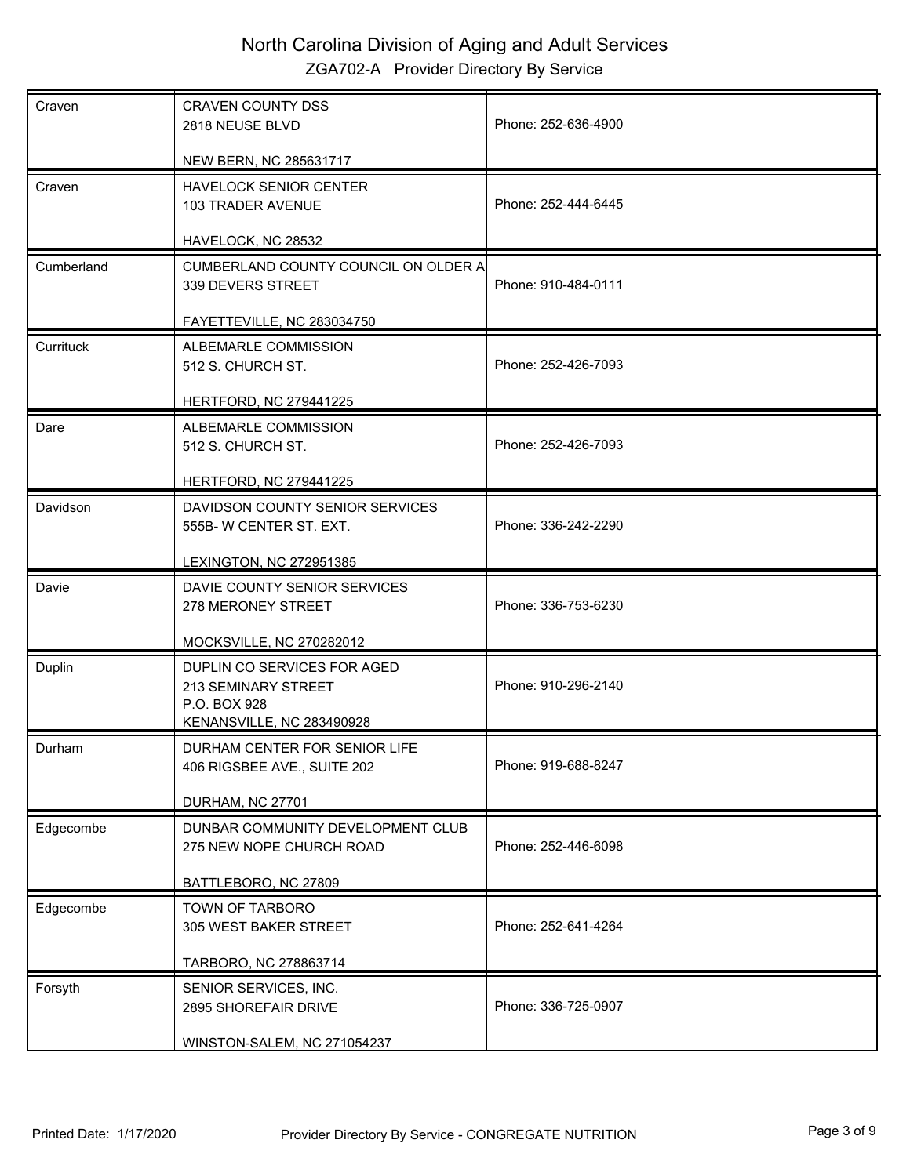| Craven     | <b>CRAVEN COUNTY DSS</b><br>2818 NEUSE BLVD                                                     | Phone: 252-636-4900 |
|------------|-------------------------------------------------------------------------------------------------|---------------------|
|            | NEW BERN, NC 285631717                                                                          |                     |
| Craven     | HAVELOCK SENIOR CENTER<br>103 TRADER AVENUE                                                     | Phone: 252-444-6445 |
|            | HAVELOCK, NC 28532                                                                              |                     |
| Cumberland | CUMBERLAND COUNTY COUNCIL ON OLDER A<br>339 DEVERS STREET                                       | Phone: 910-484-0111 |
|            | FAYETTEVILLE, NC 283034750                                                                      |                     |
| Currituck  | ALBEMARLE COMMISSION<br>512 S. CHURCH ST.                                                       | Phone: 252-426-7093 |
|            | <b>HERTFORD, NC 279441225</b>                                                                   |                     |
| Dare       | ALBEMARLE COMMISSION<br>512 S. CHURCH ST.                                                       | Phone: 252-426-7093 |
|            | <b>HERTFORD, NC 279441225</b>                                                                   |                     |
| Davidson   | DAVIDSON COUNTY SENIOR SERVICES<br>555B-W CENTER ST. EXT.                                       | Phone: 336-242-2290 |
|            | LEXINGTON, NC 272951385                                                                         |                     |
| Davie      | DAVIE COUNTY SENIOR SERVICES<br>278 MERONEY STREET                                              | Phone: 336-753-6230 |
|            | <b>MOCKSVILLE, NC 270282012</b>                                                                 |                     |
| Duplin     | DUPLIN CO SERVICES FOR AGED<br>213 SEMINARY STREET<br>P.O. BOX 928<br>KENANSVILLE, NC 283490928 | Phone: 910-296-2140 |
| Durham     | DURHAM CENTER FOR SENIOR LIFE<br>406 RIGSBEE AVE., SUITE 202                                    | Phone: 919-688-8247 |
|            | DURHAM, NC 27701                                                                                |                     |
| Edgecombe  | DUNBAR COMMUNITY DEVELOPMENT CLUB<br>275 NEW NOPE CHURCH ROAD                                   | Phone: 252-446-6098 |
|            | BATTLEBORO, NC 27809                                                                            |                     |
| Edgecombe  | TOWN OF TARBORO<br>305 WEST BAKER STREET                                                        | Phone: 252-641-4264 |
|            | TARBORO, NC 278863714                                                                           |                     |
| Forsyth    | SENIOR SERVICES, INC.<br>2895 SHOREFAIR DRIVE                                                   | Phone: 336-725-0907 |
|            | WINSTON-SALEM, NC 271054237                                                                     |                     |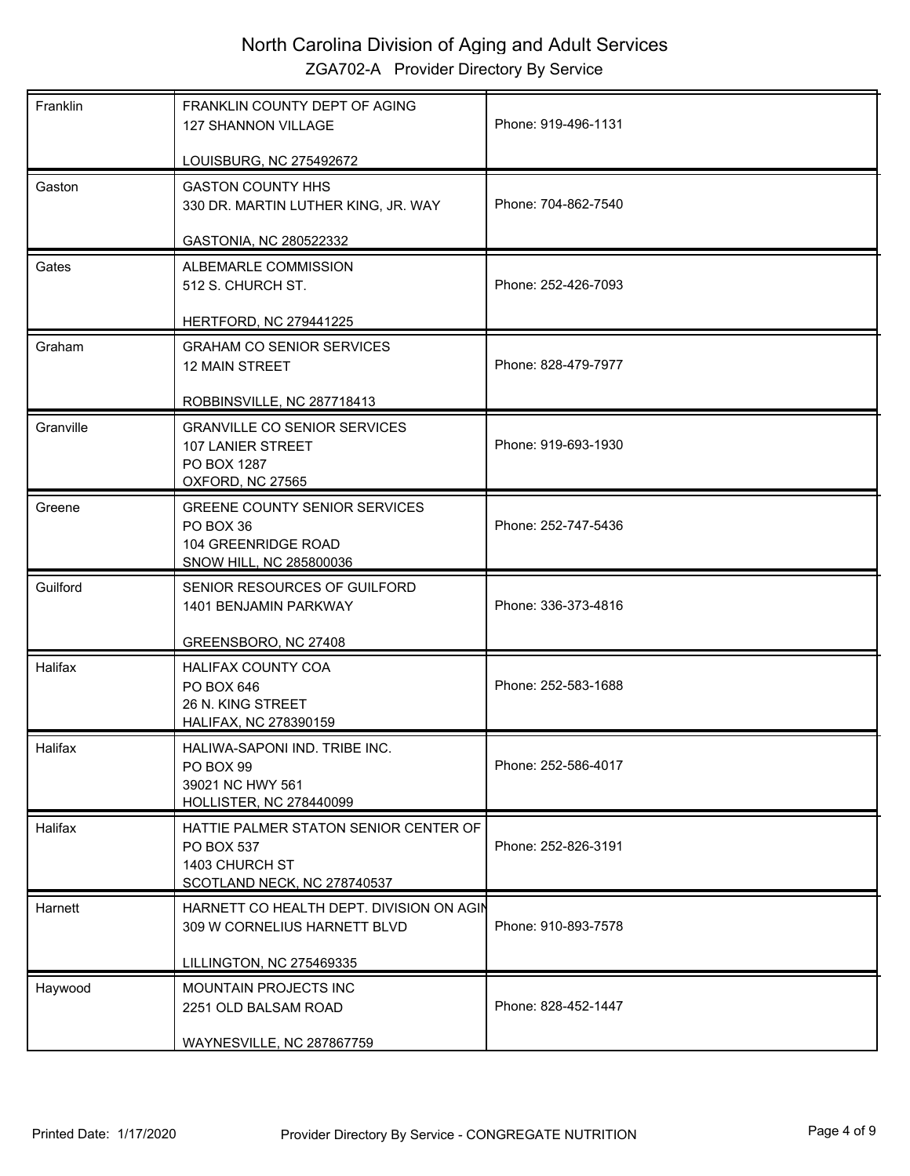| Franklin  | FRANKLIN COUNTY DEPT OF AGING<br>127 SHANNON VILLAGE                                                 | Phone: 919-496-1131 |
|-----------|------------------------------------------------------------------------------------------------------|---------------------|
|           | LOUISBURG, NC 275492672                                                                              |                     |
| Gaston    | <b>GASTON COUNTY HHS</b><br>330 DR. MARTIN LUTHER KING, JR. WAY                                      | Phone: 704-862-7540 |
|           | GASTONIA, NC 280522332                                                                               |                     |
| Gates     | ALBEMARLE COMMISSION<br>512 S. CHURCH ST.                                                            | Phone: 252-426-7093 |
|           | <b>HERTFORD, NC 279441225</b>                                                                        |                     |
| Graham    | <b>GRAHAM CO SENIOR SERVICES</b><br><b>12 MAIN STREET</b>                                            | Phone: 828-479-7977 |
|           | ROBBINSVILLE, NC 287718413                                                                           |                     |
| Granville | <b>GRANVILLE CO SENIOR SERVICES</b><br>107 LANIER STREET<br>PO BOX 1287<br>OXFORD, NC 27565          | Phone: 919-693-1930 |
| Greene    | <b>GREENE COUNTY SENIOR SERVICES</b><br>PO BOX 36<br>104 GREENRIDGE ROAD<br>SNOW HILL, NC 285800036  | Phone: 252-747-5436 |
| Guilford  | SENIOR RESOURCES OF GUILFORD<br>1401 BENJAMIN PARKWAY                                                | Phone: 336-373-4816 |
|           | GREENSBORO, NC 27408                                                                                 |                     |
| Halifax   | HALIFAX COUNTY COA<br>PO BOX 646<br>26 N. KING STREET<br><b>HALIFAX, NC 278390159</b>                | Phone: 252-583-1688 |
| Halifax   | HALIWA-SAPONI IND. TRIBE INC.<br>PO BOX 99<br>39021 NC HWY 561<br><b>HOLLISTER, NC 278440099</b>     | Phone: 252-586-4017 |
| Halifax   | HATTIE PALMER STATON SENIOR CENTER OF<br>PO BOX 537<br>1403 CHURCH ST<br>SCOTLAND NECK, NC 278740537 | Phone: 252-826-3191 |
| Harnett   | HARNETT CO HEALTH DEPT. DIVISION ON AGIN<br>309 W CORNELIUS HARNETT BLVD                             | Phone: 910-893-7578 |
|           | LILLINGTON, NC 275469335                                                                             |                     |
| Haywood   | MOUNTAIN PROJECTS INC                                                                                | Phone: 828-452-1447 |
|           | 2251 OLD BALSAM ROAD<br>WAYNESVILLE, NC 287867759                                                    |                     |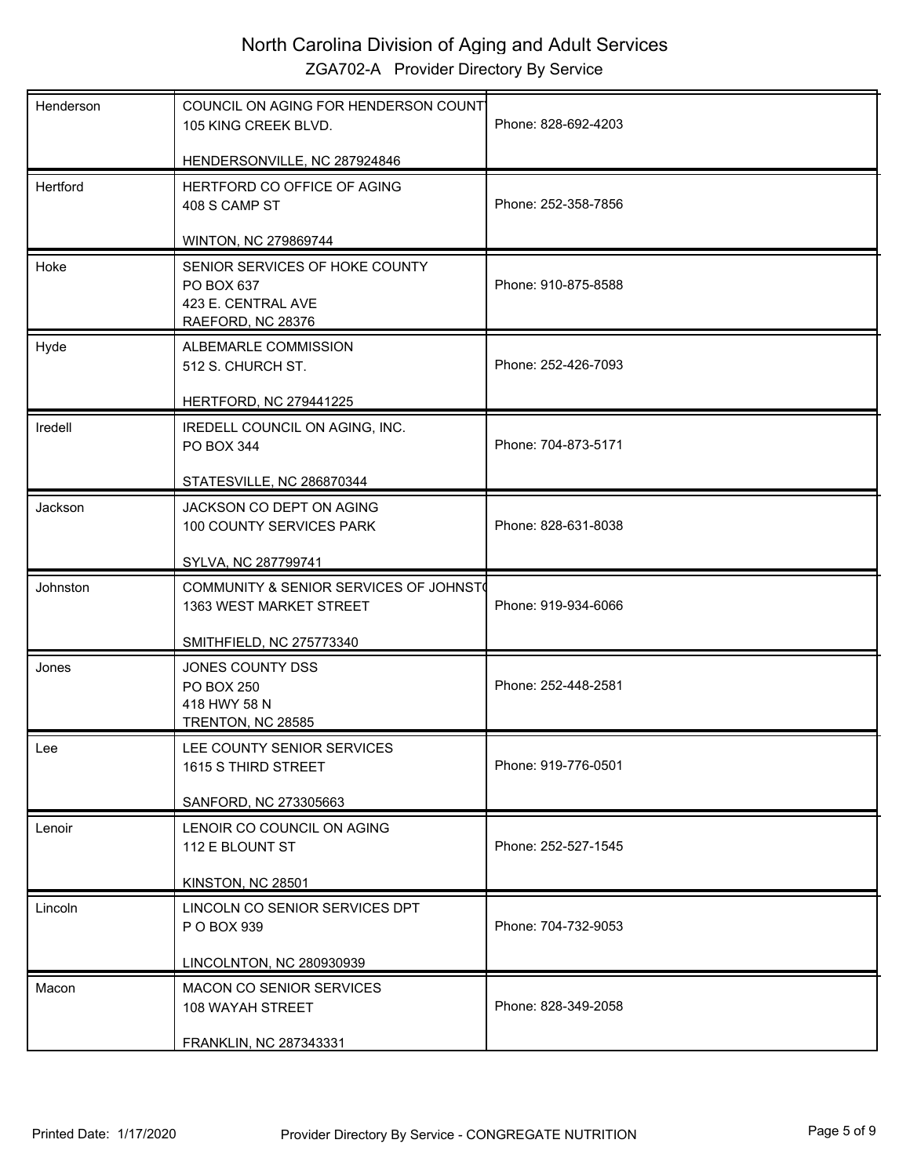| Henderson | COUNCIL ON AGING FOR HENDERSON COUNT<br>105 KING CREEK BLVD.                            | Phone: 828-692-4203 |
|-----------|-----------------------------------------------------------------------------------------|---------------------|
|           | HENDERSONVILLE, NC 287924846                                                            |                     |
| Hertford  | HERTFORD CO OFFICE OF AGING<br>408 S CAMP ST                                            | Phone: 252-358-7856 |
|           | WINTON, NC 279869744                                                                    |                     |
| Hoke      | SENIOR SERVICES OF HOKE COUNTY<br>PO BOX 637<br>423 E. CENTRAL AVE<br>RAEFORD, NC 28376 | Phone: 910-875-8588 |
| Hyde      | ALBEMARLE COMMISSION<br>512 S. CHURCH ST.                                               | Phone: 252-426-7093 |
|           | <b>HERTFORD, NC 279441225</b>                                                           |                     |
| Iredell   | IREDELL COUNCIL ON AGING, INC.<br>PO BOX 344                                            | Phone: 704-873-5171 |
|           | STATESVILLE, NC 286870344                                                               |                     |
| Jackson   | JACKSON CO DEPT ON AGING<br>100 COUNTY SERVICES PARK                                    | Phone: 828-631-8038 |
|           | SYLVA, NC 287799741                                                                     |                     |
|           |                                                                                         |                     |
| Johnston  | COMMUNITY & SENIOR SERVICES OF JOHNST<br>1363 WEST MARKET STREET                        | Phone: 919-934-6066 |
|           | SMITHFIELD, NC 275773340                                                                |                     |
| Jones     | JONES COUNTY DSS<br>PO BOX 250<br>418 HWY 58 N<br>TRENTON, NC 28585                     | Phone: 252-448-2581 |
| Lee       | LEE COUNTY SENIOR SERVICES<br>1615 S THIRD STREET                                       | Phone: 919-776-0501 |
|           | SANFORD, NC 273305663                                                                   |                     |
| Lenoir    | LENOIR CO COUNCIL ON AGING<br>112 E BLOUNT ST                                           | Phone: 252-527-1545 |
|           | KINSTON, NC 28501                                                                       |                     |
| Lincoln   | LINCOLN CO SENIOR SERVICES DPT<br>P O BOX 939                                           | Phone: 704-732-9053 |
|           | LINCOLNTON, NC 280930939                                                                |                     |
| Macon     | MACON CO SENIOR SERVICES<br>108 WAYAH STREET<br>FRANKLIN, NC 287343331                  | Phone: 828-349-2058 |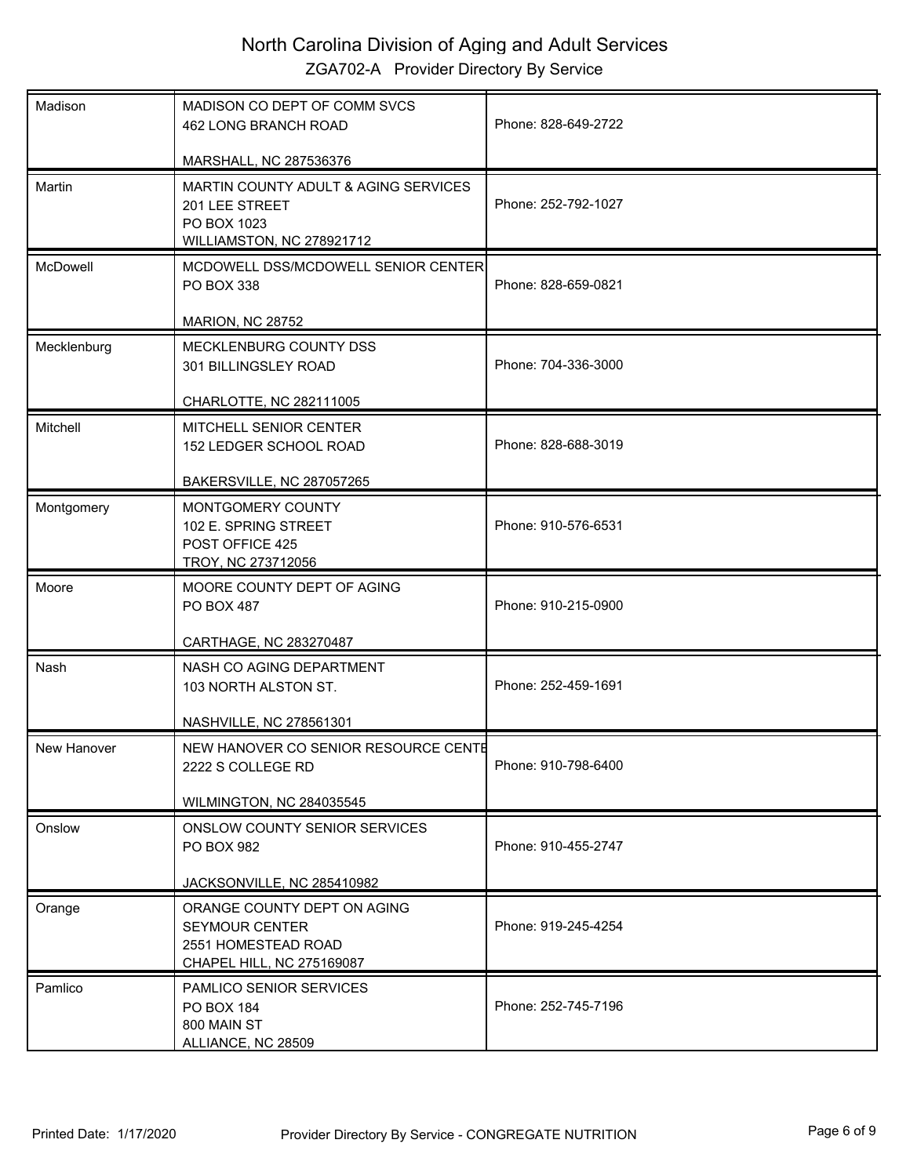| Madison     | MADISON CO DEPT OF COMM SVCS<br>462 LONG BRANCH ROAD                                                          | Phone: 828-649-2722 |
|-------------|---------------------------------------------------------------------------------------------------------------|---------------------|
|             | MARSHALL, NC 287536376                                                                                        |                     |
| Martin      | <b>MARTIN COUNTY ADULT &amp; AGING SERVICES</b><br>201 LEE STREET<br>PO BOX 1023<br>WILLIAMSTON, NC 278921712 | Phone: 252-792-1027 |
| McDowell    | MCDOWELL DSS/MCDOWELL SENIOR CENTER<br>PO BOX 338                                                             | Phone: 828-659-0821 |
|             | MARION, NC 28752                                                                                              |                     |
| Mecklenburg | MECKLENBURG COUNTY DSS<br>301 BILLINGSLEY ROAD                                                                | Phone: 704-336-3000 |
|             | CHARLOTTE, NC 282111005                                                                                       |                     |
| Mitchell    | MITCHELL SENIOR CENTER<br>152 LEDGER SCHOOL ROAD                                                              | Phone: 828-688-3019 |
|             | BAKERSVILLE, NC 287057265                                                                                     |                     |
| Montgomery  | MONTGOMERY COUNTY<br>102 E. SPRING STREET<br>POST OFFICE 425<br>TROY, NC 273712056                            | Phone: 910-576-6531 |
| Moore       | MOORE COUNTY DEPT OF AGING<br>PO BOX 487                                                                      | Phone: 910-215-0900 |
|             | CARTHAGE, NC 283270487                                                                                        |                     |
| Nash        | NASH CO AGING DEPARTMENT<br>103 NORTH ALSTON ST.                                                              | Phone: 252-459-1691 |
|             | <b>NASHVILLE, NC 278561301</b>                                                                                |                     |
| New Hanover | NEW HANOVER CO SENIOR RESOURCE CENTE<br>2222 S COLLEGE RD                                                     | Phone: 910-798-6400 |
|             | <b>WILMINGTON, NC 284035545</b>                                                                               |                     |
| Onslow      | ONSLOW COUNTY SENIOR SERVICES<br>PO BOX 982                                                                   | Phone: 910-455-2747 |
|             | JACKSONVILLE, NC 285410982                                                                                    |                     |
| Orange      | ORANGE COUNTY DEPT ON AGING<br><b>SEYMOUR CENTER</b><br>2551 HOMESTEAD ROAD<br>CHAPEL HILL, NC 275169087      | Phone: 919-245-4254 |
| Pamlico     | PAMLICO SENIOR SERVICES<br>PO BOX 184<br>800 MAIN ST<br>ALLIANCE, NC 28509                                    | Phone: 252-745-7196 |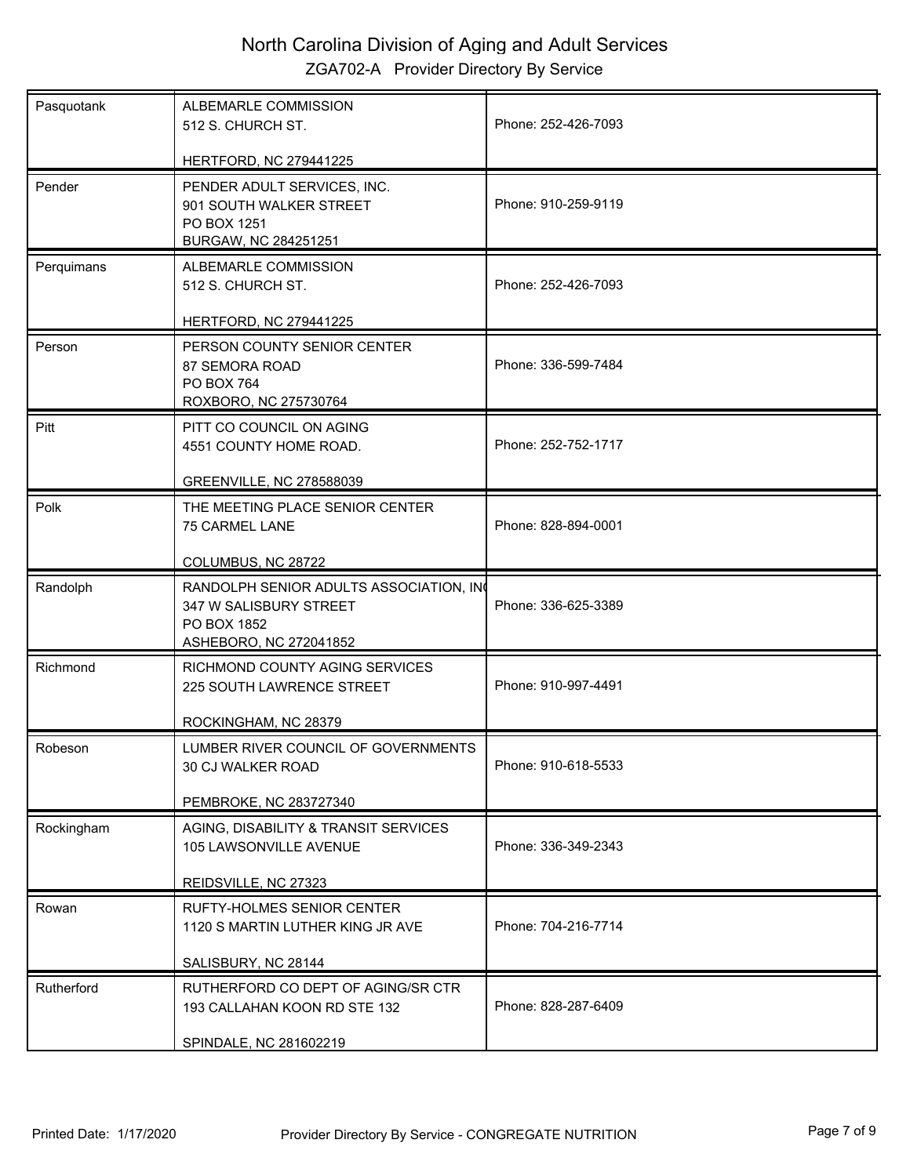| Pasquotank | ALBEMARLE COMMISSION<br>512 S. CHURCH ST.                                                                 | Phone: 252-426-7093 |
|------------|-----------------------------------------------------------------------------------------------------------|---------------------|
|            | HERTFORD, NC 279441225                                                                                    |                     |
| Pender     | PENDER ADULT SERVICES, INC.<br>901 SOUTH WALKER STREET<br>PO BOX 1251<br>BURGAW, NC 284251251             | Phone: 910-259-9119 |
| Perquimans | ALBEMARLE COMMISSION<br>512 S. CHURCH ST.                                                                 | Phone: 252-426-7093 |
| Person     | HERTFORD, NC 279441225<br>PERSON COUNTY SENIOR CENTER<br>87 SEMORA ROAD                                   | Phone: 336-599-7484 |
|            | PO BOX 764<br>ROXBORO, NC 275730764                                                                       |                     |
| Pitt       | PITT CO COUNCIL ON AGING<br>4551 COUNTY HOME ROAD.                                                        | Phone: 252-752-1717 |
|            | GREENVILLE, NC 278588039                                                                                  |                     |
| Polk       | THE MEETING PLACE SENIOR CENTER<br>75 CARMEL LANE                                                         | Phone: 828-894-0001 |
|            | COLUMBUS, NC 28722                                                                                        |                     |
| Randolph   | RANDOLPH SENIOR ADULTS ASSOCIATION, IN<br>347 W SALISBURY STREET<br>PO BOX 1852<br>ASHEBORO, NC 272041852 | Phone: 336-625-3389 |
| Richmond   | RICHMOND COUNTY AGING SERVICES<br>225 SOUTH LAWRENCE STREET                                               | Phone: 910-997-4491 |
|            | ROCKINGHAM, NC 28379                                                                                      |                     |
| Robeson    | <b>I UMBER RIVER COUNCIL OF GOVERNMENTS</b><br>30 CJ WALKER ROAD                                          | Phone: 910-618-5533 |
|            | PEMBROKE, NC 283727340                                                                                    |                     |
| Rockingham | AGING, DISABILITY & TRANSIT SERVICES<br>105 LAWSONVILLE AVENUE                                            | Phone: 336-349-2343 |
|            | REIDSVILLE, NC 27323                                                                                      |                     |
| Rowan      | <b>RUFTY-HOLMES SENIOR CENTER</b><br>1120 S MARTIN LUTHER KING JR AVE                                     | Phone: 704-216-7714 |
|            | SALISBURY, NC 28144                                                                                       |                     |
| Rutherford | RUTHERFORD CO DEPT OF AGING/SR CTR<br>193 CALLAHAN KOON RD STE 132                                        | Phone: 828-287-6409 |
|            | SPINDALE, NC 281602219                                                                                    |                     |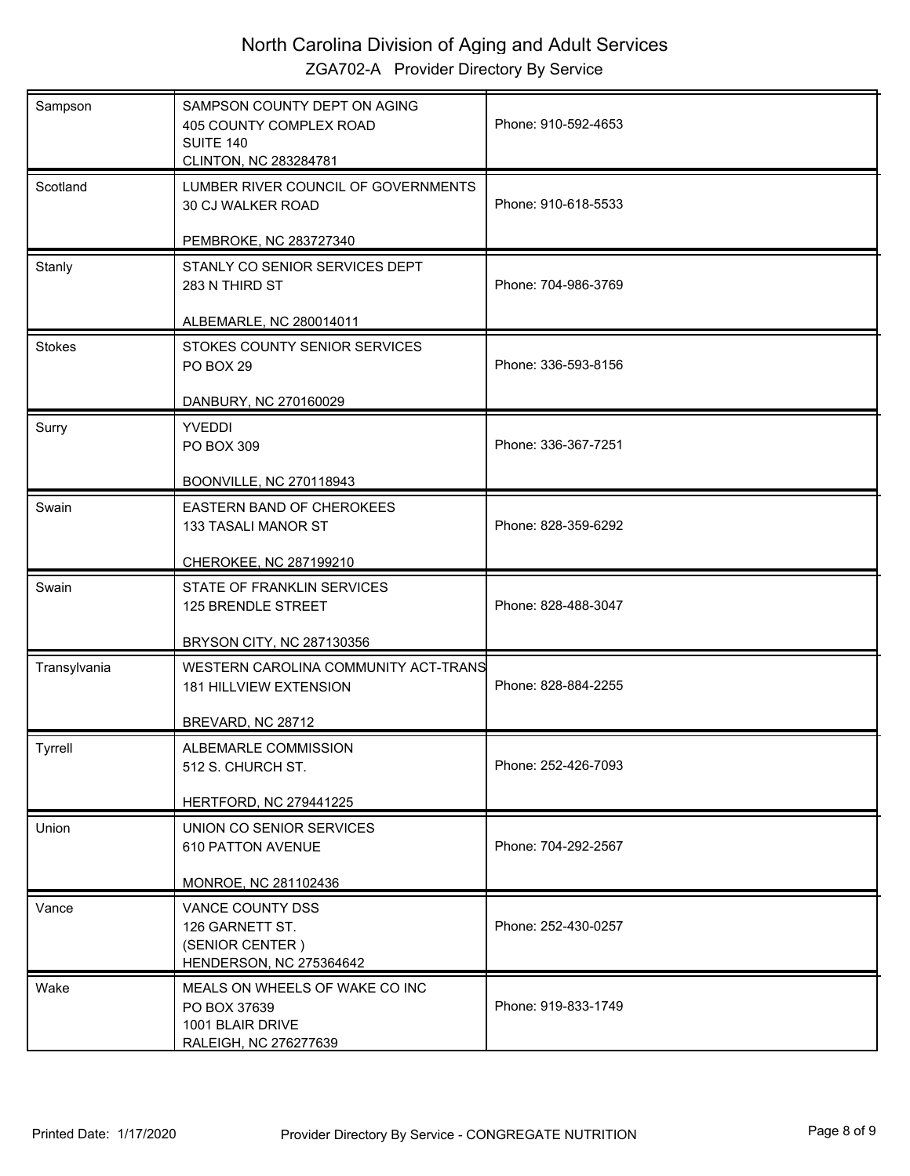| Sampson       | SAMPSON COUNTY DEPT ON AGING<br>405 COUNTY COMPLEX ROAD<br><b>SUITE 140</b><br>CLINTON, NC 283284781 | Phone: 910-592-4653 |
|---------------|------------------------------------------------------------------------------------------------------|---------------------|
| Scotland      | LUMBER RIVER COUNCIL OF GOVERNMENTS<br>30 CJ WALKER ROAD                                             | Phone: 910-618-5533 |
|               | PEMBROKE, NC 283727340                                                                               |                     |
| Stanly        | STANLY CO SENIOR SERVICES DEPT<br>283 N THIRD ST                                                     | Phone: 704-986-3769 |
|               | ALBEMARLE, NC 280014011                                                                              |                     |
| <b>Stokes</b> | STOKES COUNTY SENIOR SERVICES<br>PO BOX 29                                                           | Phone: 336-593-8156 |
|               | DANBURY, NC 270160029                                                                                |                     |
| Surry         | <b>YVEDDI</b><br>PO BOX 309                                                                          | Phone: 336-367-7251 |
|               | <b>BOONVILLE, NC 270118943</b>                                                                       |                     |
| Swain         | <b>EASTERN BAND OF CHEROKEES</b><br>133 TASALI MANOR ST                                              | Phone: 828-359-6292 |
|               | CHEROKEE, NC 287199210                                                                               |                     |
| Swain         | STATE OF FRANKLIN SERVICES<br>125 BRENDLE STREET                                                     | Phone: 828-488-3047 |
|               | BRYSON CITY, NC 287130356                                                                            |                     |
| Transylvania  | WESTERN CAROLINA COMMUNITY ACT-TRANS<br>181 HILLVIEW EXTENSION                                       | Phone: 828-884-2255 |
|               | BREVARD, NC 28712                                                                                    |                     |
| Tyrrell       | ALBEMARLE COMMISSION<br>512 S. CHURCH ST.                                                            | Phone: 252-426-7093 |
|               | <b>HERTFORD, NC 279441225</b>                                                                        |                     |
| Union         | UNION CO SENIOR SERVICES<br>610 PATTON AVENUE                                                        | Phone: 704-292-2567 |
|               | MONROE, NC 281102436                                                                                 |                     |
| Vance         | VANCE COUNTY DSS<br>126 GARNETT ST.<br>(SENIOR CENTER)<br>HENDERSON, NC 275364642                    | Phone: 252-430-0257 |
| Wake          | MEALS ON WHEELS OF WAKE CO INC<br>PO BOX 37639<br>1001 BLAIR DRIVE<br>RALEIGH, NC 276277639          | Phone: 919-833-1749 |